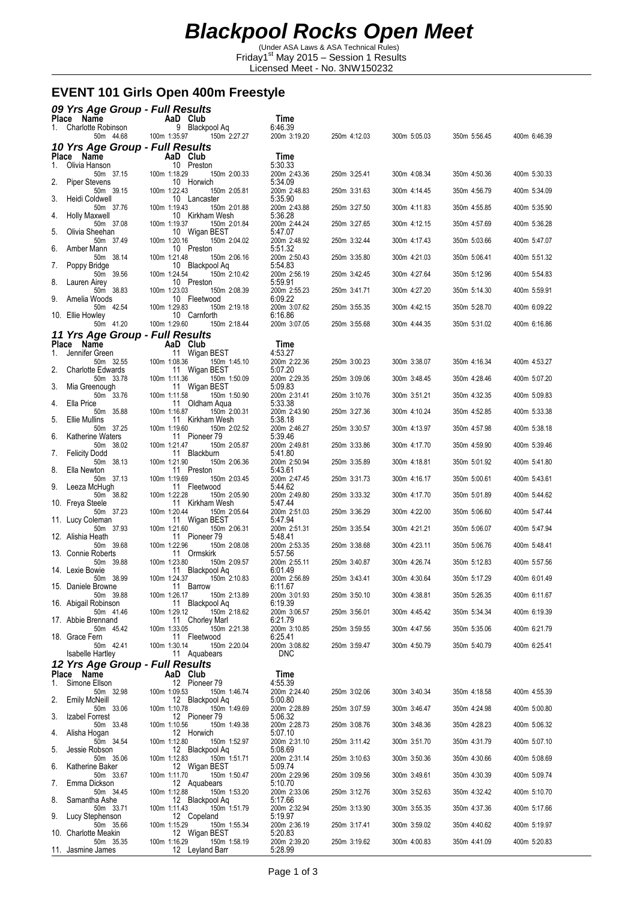(Under ASA Laws & ASA Technical Rules) Friday1st May 2015 – Session 1 Results Licensed Meet - No. 3NW150232

## **EVENT 101 Girls Open 400m Freestyle**

|    | 09 Yrs Age Group - Full Results               |              |                            |              |                            |              |              |              |              |
|----|-----------------------------------------------|--------------|----------------------------|--------------|----------------------------|--------------|--------------|--------------|--------------|
| 1. | Place Name<br>Charlotte Robinson              |              | AaD Club<br>9 Blackpool Aq |              | Time<br>6:46.39            |              |              |              |              |
|    | 50m 44.68                                     | 100m 1:35.97 |                            | 150m 2:27.27 | 200m 3:19.20               | 250m 4:12.03 | 300m 5:05.03 | 350m 5:56.45 | 400m 6:46.39 |
|    | 10 Yrs Age Group - Full Results<br>Place Name |              | AaD Club                   |              | Time                       |              |              |              |              |
| 1. | Olivia Hanson<br>50m 37.15                    | 100m 1:18.29 | 10 Preston                 | 150m 2:00.33 | 5:30.33<br>200m 2:43.36    | 250m 3:25.41 | 300m 4:08.34 | 350m 4:50.36 | 400m 5:30.33 |
| 2. | <b>Piper Stevens</b><br>50m 39.15             | 100m 1:22.43 | 10 Horwich                 | 150m 2:05.81 | 5:34.09<br>200m 2:48.83    | 250m 3:31.63 | 300m 4:14.45 | 350m 4:56.79 | 400m 5:34.09 |
| 3. | Heidi Coldwell<br>50m 37.76                   | 100m 1:19.43 | 10 Lancaster               | 150m 2:01.88 | 5:35.90<br>200m 2:43.88    | 250m 3:27.50 | 300m 4:11.83 | 350m 4:55.85 | 400m 5:35.90 |
| 4. | <b>Holly Maxwell</b><br>50m 37.08             | 100m 1:19.37 | 10 Kirkham Wesh            | 150m 2:01.84 | 5:36.28<br>200m 2:44.24    | 250m 3:27.65 | 300m 4:12.15 | 350m 4:57.69 | 400m 5:36.28 |
| 5. | Olivia Sheehan<br>50m 37.49                   | 100m 1:20.16 | 10 Wigan BEST              | 150m 2:04.02 | 5:47.07<br>200m 2:48.92    | 250m 3:32.44 | 300m 4:17.43 | 350m 5:03.66 | 400m 5:47.07 |
| 6. | Amber Mann<br>50m 38.14                       | 100m 1:21.48 | 10 Preston                 | 150m 2:06.16 | 5:51.32<br>200m 2:50.43    |              | 300m 4:21.03 | 350m 5:06.41 |              |
| 7. | Poppy Bridge                                  |              | 10 Blackpool Aq            |              | 5:54.83                    | 250m 3:35.80 |              |              | 400m 5:51.32 |
| 8. | 50m 39.56<br>Lauren Airey                     | 100m 1:24.54 | 10 Preston                 | 150m 2:10.42 | 200m 2:56.19<br>5:59.91    | 250m 3:42.45 | 300m 4:27.64 | 350m 5:12.96 | 400m 5:54.83 |
| 9. | 50m 38.83<br>Amelia Woods                     | 100m 1:23.03 | 10 Fleetwood               | 150m 2:08.39 | 200m 2:55.23<br>6:09.22    | 250m 3:41.71 | 300m 4:27.20 | 350m 5:14.30 | 400m 5:59.91 |
|    | 50m 42.54<br>10. Ellie Howley                 | 100m 1:29.83 | 10 Carnforth               | 150m 2:19.18 | 200m 3:07.62<br>6:16.86    | 250m 3:55.35 | 300m 4:42.15 | 350m 5:28.70 | 400m 6:09.22 |
|    | 50m 41.20<br>11 Yrs Age Group - Full Results  | 100m 1:29.60 |                            | 150m 2:18.44 | 200m 3:07.05               | 250m 3:55.68 | 300m 4:44.35 | 350m 5:31.02 | 400m 6:16.86 |
|    | Place Name<br>Jennifer Green                  |              | AaD Club<br>11 Wigan BEST  |              | Time<br>4:53.27            |              |              |              |              |
| 1. | 50m 32.55                                     | 100m 1:08.36 |                            | 150m 1:45.10 | 200m 2:22.36               | 250m 3:00.23 | 300m 3:38.07 | 350m 4:16.34 | 400m 4:53.27 |
| 2. | <b>Charlotte Edwards</b><br>50m 33.78         | 100m 1:11.36 | 11 Wigan BEST              | 150m 1:50.09 | 5:07.20<br>200m 2:29.35    | 250m 3:09.06 | 300m 3:48.45 | 350m 4:28.46 | 400m 5:07.20 |
| 3. | Mia Greenough<br>50m 33.76                    | 100m 1:11.58 | 11 Wigan BEST              | 150m 1:50.90 | 5:09.83<br>200m 2:31.41    | 250m 3:10.76 | 300m 3:51.21 | 350m 4:32.35 | 400m 5:09.83 |
| 4. | Ella Price<br>50m 35.88                       | 100m 1:16.87 | 11 Oldham Aqua             | 150m 2:00.31 | 5:33.38<br>200m 2:43.90    | 250m 3:27.36 | 300m 4:10.24 | 350m 4:52.85 | 400m 5:33.38 |
| 5. | <b>Ellie Mullins</b><br>50m 37.25             | 100m 1:19.60 | 11 Kirkham Wesh            | 150m 2:02.52 | 5:38.18<br>200m 2:46.27    | 250m 3:30.57 | 300m 4:13.97 | 350m 4:57.98 | 400m 5:38.18 |
| 6. | Katherine Waters<br>50m 38.02                 | 100m 1:21.47 | 11 Pioneer 79              | 150m 2:05.87 | 5:39.46<br>200m 2:49.81    | 250m 3:33.86 | 300m 4:17.70 | 350m 4:59.90 | 400m 5:39.46 |
| 7. | <b>Felicity Dodd</b><br>50m 38.13             | 100m 1:21.90 | 11 Blackburn               | 150m 2:06.36 | 5:41.80<br>200m 2:50.94    | 250m 3:35.89 | 300m 4:18.81 | 350m 5:01.92 | 400m 5:41.80 |
| 8. | Ella Newton<br>50m 37.13                      | 100m 1:19.69 | 11 Preston                 | 150m 2:03.45 | 5:43.61<br>200m 2:47.45    | 250m 3:31.73 | 300m 4:16.17 | 350m 5:00.61 | 400m 5:43.61 |
| 9. | Leeza McHugh<br>50m 38.82                     | 100m 1:22.28 | 11 Fleetwood               | 150m 2:05.90 | 5:44.62<br>200m 2:49.80    | 250m 3:33.32 | 300m 4:17.70 | 350m 5:01.89 | 400m 5:44.62 |
|    | 10. Freya Steele<br>50m 37.23                 | 100m 1:20.44 | 11 Kirkham Wesh            | 150m 2:05.64 | 5.47.44<br>200m 2:51.03    | 250m 3:36.29 | 300m 4:22.00 | 350m 5:06.60 | 400m 5:47.44 |
|    | 11. Lucy Coleman<br>50m 37.93                 | 100m 1:21.60 | 11 Wigan BEST              | 150m 2:06.31 | 5:47.94<br>200m 2:51.31    | 250m 3:35.54 | 300m 4:21.21 | 350m 5:06.07 | 400m 5:47.94 |
|    | 12. Alishia Heath<br>50m 39.68                | 100m 1:22.96 | 11 Pioneer 79              | 150m 2:08.08 | 5:48.41<br>200m 2:53.35    | 250m 3:38.68 | 300m 4:23.11 | 350m 5:06.76 | 400m 5:48.41 |
|    | 13. Connie Roberts<br>50m 39.88               | 100m 1:23.80 | 11 Ormskirk                | 150m 2:09.57 | 5:57.56<br>200m 2:55.11    | 250m 3:40.87 | 300m 4:26.74 | 350m 5:12.83 | 400m 5:57.56 |
|    | 14. Lexie Bowie<br>50m 38.99                  | 100m 1:24.37 | 11 Blackpool Aq            | 150m 2:10.83 | 6:01.49<br>200m 2:56.89    | 250m 3:43.41 | 300m 4:30.64 | 350m 5:17.29 | 400m 6:01.49 |
|    | 15. Daniele Browne                            |              | 11 Barrow                  |              | 6:11.67                    |              | 300m 4:38.81 |              |              |
|    | 50m 39.88<br>16. Abigail Robinson             | 100m 1:26.17 | 11 Blackpool Aq            | 150m 2:13.89 | 200m 3:01.93<br>6:19.39    | 250m 3:50.10 |              | 350m 5:26.35 | 400m 6:11.67 |
|    | 50m 41.46<br>17. Abbie Brennand               | 100m 1:29.12 | 11 Chorley Marl            | 150m 2:18.62 | 200m 3:06.57<br>6.21.79    | 250m 3:56.01 | 300m 4:45.42 | 350m 5:34.34 | 400m 6:19.39 |
|    | 50m 45.42<br>18. Grace Fern                   | 100m 1:33.05 | 11 Fleetwood               | 150m 2:21.38 | 200m 3:10.85<br>6:25.41    | 250m 3:59.55 | 300m 4:47.56 | 350m 5:35.06 | 400m 6:21.79 |
|    | 50m 42.41<br><b>Isabelle Hartley</b>          | 100m 1:30.14 | 11 Aquabears               | 150m 2:20.04 | 200m 3:08.82<br><b>DNC</b> | 250m 3:59.47 | 300m 4:50.79 | 350m 5:40.79 | 400m 6:25.41 |
|    | 12 Yrs Age Group - Full Results<br>Place Name |              | AaD Club                   |              | Time                       |              |              |              |              |
| 1. | Simone Ellson                                 |              | 12 Pioneer 79              |              | 4:55.39                    |              |              |              |              |
| 2. | 50m 32.98<br><b>Emily McNeill</b>             | 100m 1:09.53 | 12 Blackpool Ag            | 150m 1:46.74 | 200m 2:24.40<br>5:00.80    | 250m 3:02.06 | 300m 3:40.34 | 350m 4:18.58 | 400m 4:55.39 |
| 3. | 50m 33.06<br>Izabel Forrest                   | 100m 1:10.78 | 12 Pioneer 79              | 150m 1:49.69 | 200m 2:28.89<br>5:06.32    | 250m 3:07.59 | 300m 3:46.47 | 350m 4:24.98 | 400m 5:00.80 |
| 4. | 50m 33.48<br>Alisha Hogan                     | 100m 1:10.56 | 12 Horwich                 | 150m 1:49.38 | 200m 2:28.73<br>5:07.10    | 250m 3:08.76 | 300m 3:48.36 | 350m 4:28.23 | 400m 5:06.32 |
| 5. | 50m 34.54<br>Jessie Robson                    | 100m 1:12.80 | 12 Blackpool Aq            | 150m 1:52.97 | 200m 2:31.10<br>5:08.69    | 250m 3:11.42 | 300m 3:51.70 | 350m 4:31.79 | 400m 5:07.10 |
| 6. | 50m 35.06<br>Katherine Baker                  | 100m 1:12.83 | 12 Wigan BEST              | 150m 1:51.71 | 200m 2:31.14<br>5:09.74    | 250m 3:10.63 | 300m 3:50.36 | 350m 4:30.66 | 400m 5:08.69 |
| 7. | 50m 33.67<br>Emma Dickson                     | 100m 1:11.70 | 12 Aquabears               | 150m 1:50.47 | 200m 2:29.96<br>5:10.70    | 250m 3:09.56 | 300m 3:49.61 | 350m 4:30.39 | 400m 5:09.74 |
| 8. | 50m 34.45<br>Samantha Ashe                    | 100m 1:12.88 | 12 Blackpool Aq            | 150m 1:53.20 | 200m 2:33.06<br>5:17.66    | 250m 3:12.76 | 300m 3:52.63 | 350m 4:32.42 | 400m 5:10.70 |
|    | 50m 33.71<br>9. Lucy Stephenson               | 100m 1:11.43 | 12 Copeland                | 150m 1:51.79 | 200m 2:32.94<br>5:19.97    | 250m 3:13.90 | 300m 3:55.35 | 350m 4:37.36 | 400m 5:17.66 |
|    | 50m 35.66<br>10. Charlotte Meakin             | 100m 1:15.29 | 12 Wigan BEST              | 150m 1:55.34 | 200m 2:36.19<br>5:20.83    | 250m 3:17.41 | 300m 3:59.02 | 350m 4:40.62 | 400m 5:19.97 |
|    | 50m 35.35<br>11. Jasmine James                | 100m 1:16.29 | 12 Leyland Barr            | 150m 1:58.19 | 200m 2:39.20<br>5:28.99    | 250m 3:19.62 | 300m 4:00.83 | 350m 4:41.09 | 400m 5:20.83 |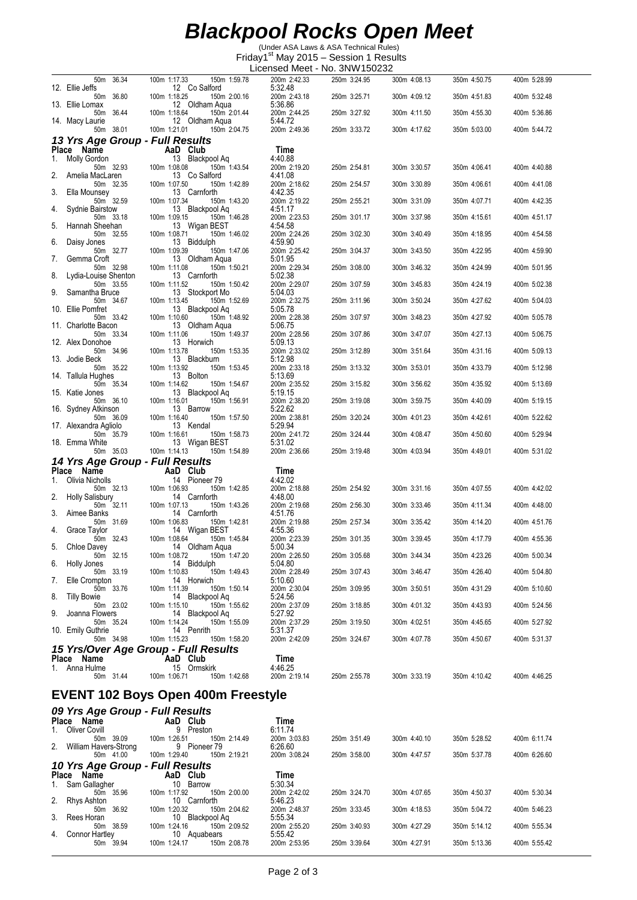## *Blackpool Rocks Open Meet*

(Under ASA Laws & ASA Technical Rules) Friday1st May 2015 – Session 1 Results

|                                                              |                                                                 | Licensed Meet - No. 3NW150232      |              |              |              |              |
|--------------------------------------------------------------|-----------------------------------------------------------------|------------------------------------|--------------|--------------|--------------|--------------|
| 50m 36.34<br>12. Ellie Jeffs                                 | 150m 1:59.78<br>100m 1:17.33<br>12 Co Salford                   | 200m 2:42.33<br>5:32.48            | 250m 3:24.95 | 300m 4:08.13 | 350m 4:50.75 | 400m 5:28.99 |
| 50m 36.80                                                    | 100m 1:18.25<br>150m 2:00.16<br>12 Oldham Aqua                  | 200m 2:43.18                       | 250m 3:25.71 | 300m 4:09.12 | 350m 4:51.83 | 400m 5:32.48 |
| 13. Ellie Lomax<br>50m 36.44                                 | 100m 1:18.64<br>150m 2:01.44                                    | 5:36.86<br>200m 2:44.25            | 250m 3:27.92 | 300m 4:11.50 | 350m 4:55.30 | 400m 5:36.86 |
| 14. Macy Laurie<br>50m 38.01                                 | 12 Oldham Aqua<br>100m 1:21.01<br>150m 2:04.75                  | 5:44.72<br>200m 2:49.36            | 250m 3:33.72 | 300m 4:17.62 | 350m 5:03.00 | 400m 5:44.72 |
| 13 Yrs Age Group - Full Results                              |                                                                 |                                    |              |              |              |              |
| Place Name<br>1.<br>Molly Gordon                             | AaD Club<br>13 Blackpool Aq                                     | Time<br>4:40.88                    |              |              |              |              |
| 50m 32.93<br>2.<br>Amelia MacLaren                           | 100m 1:08.08<br>150m 1:43.54<br>13 Co Salford                   | 200m 2:19.20<br>4:41.08            | 250m 2:54.81 | 300m 3:30.57 | 350m 4:06.41 | 400m 4:40.88 |
| 50m 32.35                                                    | 100m 1:07.50<br>150m 1:42.89                                    | 200m 2:18.62                       | 250m 2:54.57 | 300m 3:30.89 | 350m 4:06.61 | 400m 4:41.08 |
| 3.<br>Ella Mounsey<br>50m 32.59                              | 13 Carnforth<br>100m 1:07.34<br>150m 1:43.20                    | 4:42.35<br>200m 2:19.22            | 250m 2:55.21 | 300m 3:31.09 | 350m 4:07.71 | 400m 4:42.35 |
| Sydnie Bairstow<br>4.<br>50m 33.18                           | 13 Blackpool Aq<br>100m 1:09.15<br>150m 1:46.28                 | 4:51.17<br>200m 2:23.53            | 250m 3:01.17 | 300m 3:37.98 | 350m 4:15.61 | 400m 4:51.17 |
| 5.<br>Hannah Sheehan<br>50m 32.55                            | 13 Wigan BEST<br>100m 1:08.71<br>150m 1:46.02                   | 4:54.58<br>200m 2:24.26            | 250m 3:02.30 | 300m 3:40.49 | 350m 4:18.95 | 400m 4:54.58 |
| 6.<br>Daisy Jones<br>50m 32.77                               | 13 Biddulph<br>100m 1:09.39<br>150m 1:47.06                     | 4:59.90<br>200m 2:25.42            | 250m 3:04.37 | 300m 3:43.50 | 350m 4:22.95 | 400m 4:59.90 |
| Gemma Croft<br>7.<br>50m 32.98                               | 13 Oldham Aqua<br>100m 1:11.08<br>150m 1:50.21                  | 5:01.95<br>200m 2:29.34            | 250m 3:08.00 | 300m 3:46.32 | 350m 4:24.99 | 400m 5:01.95 |
| 8.<br>Lydia-Louise Shenton                                   | 13 Carnforth                                                    | 5:02.38                            |              |              |              |              |
| 50m 33.55<br>9.<br>Samantha Bruce                            | 100m 1:11.52<br>150m 1:50.42<br>13 Stockport Mo                 | 200m 2:29.07<br>5:04.03            | 250m 3:07.59 | 300m 3:45.83 | 350m 4:24.19 | 400m 5:02.38 |
| 50m 34.67<br>10. Ellie Pomfret                               | 150m 1:52.69<br>100m 1:13.45<br>13 Blackpool Ag                 | 200m 2:32.75<br>5:05.78            | 250m 3:11.96 | 300m 3:50.24 | 350m 4:27.62 | 400m 5:04.03 |
| 50m 33.42<br>11. Charlotte Bacon                             | 100m 1:10.60<br>150m 1:48.92<br>13 Oldham Aqua                  | 200m 2:28.38<br>5:06.75            | 250m 3:07.97 | 300m 3:48.23 | 350m 4:27.92 | 400m 5:05.78 |
| 50m 33.34<br>12. Alex Donohoe                                | 100m 1:11.06<br>150m 1:49.37<br>13 Horwich                      | 200m 2:28.56<br>5:09.13            | 250m 3:07.86 | 300m 3:47.07 | 350m 4:27.13 | 400m 5:06.75 |
| 50m 34.96                                                    | 100m 1:13.78<br>150m 1:53.35                                    | 200m 2:33.02                       | 250m 3:12.89 | 300m 3:51.64 | 350m 4:31.16 | 400m 5:09.13 |
| 13. Jodie Beck<br>50m 35.22                                  | 13 Blackburn<br>100m 1:13.92<br>150m 1:53.45                    | 5:12.98<br>200m 2:33.18            | 250m 3:13.32 | 300m 3:53.01 | 350m 4:33.79 | 400m 5:12.98 |
| 14. Tallula Hughes<br>50m 35.34                              | 13 Bolton<br>100m 1:14.62<br>150m 1:54.67                       | 5:13.69<br>200m 2:35.52            | 250m 3:15.82 | 300m 3:56.62 | 350m 4:35.92 | 400m 5:13.69 |
| 15. Katie Jones<br>50m 36.10                                 | 13 Blackpool Aq<br>100m 1:16.01<br>150m 1:56.91                 | 5:19.15<br>200m 2:38.20            | 250m 3:19.08 | 300m 3:59.75 | 350m 4:40.09 | 400m 5:19.15 |
| 16. Sydney Atkinson<br>50m 36.09                             | 13 Barrow<br>100m 1:16.40<br>150m 1:57.50                       | 5:22.62<br>200m 2:38.81            | 250m 3:20.24 | 300m 4:01.23 | 350m 4:42.61 | 400m 5:22.62 |
| 17. Alexandra Agliolo<br>50m 35.79                           | 13 Kendal<br>150m 1:58.73<br>100m 1:16.61                       | 5:29.94<br>200m 2:41.72            | 250m 3:24.44 | 300m 4:08.47 | 350m 4:50.60 | 400m 5:29.94 |
| 18. Emma White<br>50m 35.03                                  | 13 Wigan BEST<br>100m 1:14.13<br>150m 1:54.89                   | 5:31.02<br>200m 2:36.66            |              |              |              | 400m 5:31.02 |
|                                                              |                                                                 |                                    |              |              |              |              |
|                                                              |                                                                 |                                    | 250m 3:19.48 | 300m 4:03.94 | 350m 4:49.01 |              |
| 14 Yrs Age Group - Full Results<br>Place Name                | AaD Club                                                        | Time                               |              |              |              |              |
| Olivia Nicholls<br>1.<br>50m 32.13                           | 14 Pioneer 79<br>100m 1:06.93<br>150m 1:42.85                   | 4:42.02<br>200m 2:18.88            | 250m 2:54.92 | 300m 3:31.16 | 350m 4:07.55 | 400m 4:42.02 |
| 2.<br><b>Holly Salisbury</b><br>50m 32.11                    | 14 Carnforth<br>100m 1:07.13<br>150m 1:43.26                    | 4:48.00<br>200m 2:19.68            | 250m 2:56.30 | 300m 3:33.46 | 350m 4:11.34 | 400m 4:48.00 |
| 3.<br>Aimee Banks<br>50m 31.69                               | 14 Carnforth<br>100m 1:06.83<br>150m 1:42.81                    | 4:51.76<br>200m 2:19.88            | 250m 2:57.34 | 300m 3:35.42 | 350m 4:14.20 | 400m 4:51.76 |
| 4.<br>Grace Taylor                                           | 14 Wigan BEST<br>150m 1:45.84                                   | 4:55.36<br>200m 2:23.39            |              | 300m 3:39.45 | 350m 4:17.79 | 400m 4:55.36 |
| 50m 32.43<br>Chloe Davey<br>5.                               | 100m 1:08.64<br>14 Oldham Aqua                                  | 5:00.34                            | 250m 3:01.35 |              |              |              |
| 50m 32.15<br>6.<br>Holly Jones                               | 100m 1:08.72<br>150m 1:47.20<br>14 Biddulph                     | 200m 2:26.50<br>5:04.80            | 250m 3:05.68 | 300m 3:44.34 | 350m 4:23.26 | 400m 5:00.34 |
| 50m 33.19<br>Elle Crompton<br>7.                             | 100m 1:10.83<br>150m 1:49.43<br>14 Horwich                      | 200m 2:28.49<br>5:10.60            | 250m 3:07.43 | 300m 3:46.47 | 350m 4:26.40 | 400m 5:04.80 |
| 50m 33.76<br>8.<br><b>Tilly Bowie</b>                        | 100m 1:11.39<br>150m 1:50.14<br>14 Blackpool Aq                 | 200m 2:30.04<br>5:24.56            | 250m 3:09.95 | 300m 3:50.51 | 350m 4:31.29 | 400m 5:10.60 |
| 50m 23.02<br>9.<br>Joanna Flowers                            | 150m 1:55.62<br>100m 1:15.10<br>14 Blackpool Aq                 | 200m 2:37.09<br>5:27.92            | 250m 3:18.85 | 300m 4:01.32 | 350m 4:43.93 | 400m 5:24.56 |
| 50m 35.24                                                    | 100m 1:14.24<br>150m 1:55.09                                    | 200m 2:37.29                       | 250m 3:19.50 | 300m 4:02.51 | 350m 4:45.65 | 400m 5:27.92 |
| 10. Emily Guthrie<br>50m 34.98                               | 14 Penrith<br>100m 1:15.23<br>150m 1:58.20                      | 5:31.37<br>200m 2:42.09            | 250m 3:24.67 | 300m 4:07.78 | 350m 4:50.67 | 400m 5:31.37 |
|                                                              | 15 Yrs/Over Age Group - Full Results                            |                                    |              |              |              |              |
| Place Name<br>1. Anna Hulme                                  | AaD Club<br>15 Ormskirk                                         | Time<br>4:46.25                    |              |              |              |              |
| 50m 31.44                                                    | 100m 1:06.71<br>150m 1:42.68                                    | 200m 2:19.14                       | 250m 2:55.78 | 300m 3:33.19 | 350m 4:10.42 | 400m 4:46.25 |
|                                                              | <b>EVENT 102 Boys Open 400m Freestyle</b>                       |                                    |              |              |              |              |
| 09 Yrs Age Group - Full Results<br>Place Name                | AaD Club                                                        | Time                               |              |              |              |              |
| Oliver Covill<br>1.                                          | 9 Preston<br>100m 1:26.51                                       | 6:11.74                            |              | 300m 4:40.10 | 350m 5:28.52 | 400m 6:11.74 |
| 50m 39.09<br>William Havers-Strong                           | 150m 2:14.49<br>9 Pioneer 79                                    | 200m 3:03.83<br>6:26.60            | 250m 3:51.49 |              |              |              |
| 50m 41.00<br>10 Yrs Age Group - Full Results                 | 150m 2:19.21<br>100m 1:29.40                                    | 200m 3:08.24                       | 250m 3:58.00 | 300m 4:47.57 | 350m 5:37.78 | 400m 6:26.60 |
| Place Name<br>1.                                             | AaD Club                                                        | Time                               |              |              |              |              |
| Sam Gallagher<br>50m 35.96                                   | 10 Barrow<br>100m 1:17.92<br>150m 2:00.00                       | 5:30.34<br>200m 2:42.02            | 250m 3:24.70 | 300m 4:07.65 | 350m 4:50.37 | 400m 5:30.34 |
| 2.<br>Rhys Ashton<br>50m 36.92                               | 10 Carnforth<br>100m 1:20.32<br>150m 2:04.62                    | 5:46.23<br>200m 2:48.37            | 250m 3:33.45 | 300m 4:18.53 | 350m 5:04.72 | 400m 5:46.23 |
| Rees Horan<br>3.<br>50m 38.59<br><b>Connor Hartley</b><br>4. | 10 Blackpool Aq<br>100m 1:24.16<br>150m 2:09.52<br>10 Aquabears | 5:55.34<br>200m 2:55.20<br>5:55.42 | 250m 3:40.93 | 300m 4:27.29 | 350m 5:14.12 | 400m 5:55.34 |